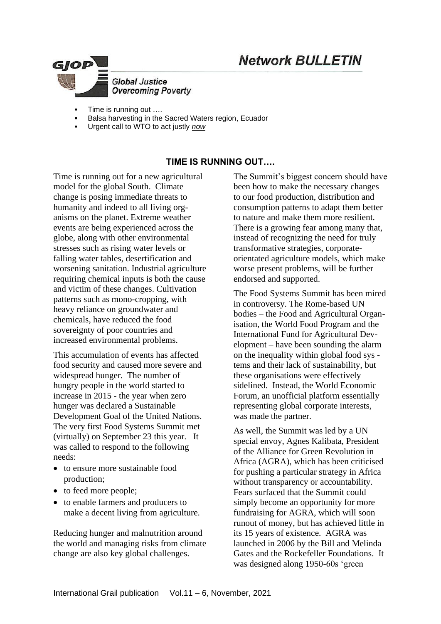# **Network BULLETIN**



- Time is running out ....
- Balsa harvesting in the Sacred Waters region, Ecuador
- Urgent call to WTO to act justly *now*

## **TIME IS RUNNING OUT….**

Time is running out for a new agricultural model for the global South. Climate change is posing immediate threats to humanity and indeed to all living organisms on the planet. Extreme weather events are being experienced across the globe, along with other environmental stresses such as rising water levels or falling water tables, desertification and worsening sanitation. Industrial agriculture requiring chemical inputs is both the cause and victim of these changes. Cultivation patterns such as mono-cropping, with heavy reliance on groundwater and chemicals, have reduced the food sovereignty of poor countries and increased environmental problems.

This accumulation of events has affected food security and caused more severe and widespread hunger. The number of hungry people in the world started to increase in 2015 - the year when zero hunger was declared a Sustainable Development Goal of the United Nations. The very first Food Systems Summit met (virtually) on September 23 this year. It was called to respond to the following needs:

- to ensure more sustainable food production;
- to feed more people;
- to enable farmers and producers to make a decent living from agriculture.

Reducing hunger and malnutrition around the world and managing risks from climate change are also key global challenges.

The Summit's biggest concern should have been how to make the necessary changes to our food production, distribution and consumption patterns to adapt them better to nature and make them more resilient. There is a growing fear among many that, instead of recognizing the need for truly transformative strategies, corporateorientated agriculture models, which make worse present problems, will be further endorsed and supported.

The Food Systems Summit has been mired in controversy. The Rome-based UN bodies – the Food and Agricultural Organisation, the World Food Program and the International Fund for Agricultural Development – have been sounding the alarm on the inequality within global food sys tems and their lack of sustainability, but these organisations were effectively sidelined. Instead, the World Economic Forum, an unofficial platform essentially representing global corporate interests, was made the partner.

As well, the Summit was led by a UN special envoy, Agnes Kalibata, President of the Alliance for Green Revolution in Africa (AGRA), which has been criticised for pushing a particular strategy in Africa without transparency or accountability. Fears surfaced that the Summit could simply become an opportunity for more fundraising for AGRA, which will soon runout of money, but has achieved little in its 15 years of existence. AGRA was launched in 2006 by the Bill and Melinda Gates and the Rockefeller Foundations. It was designed along 1950-60s 'green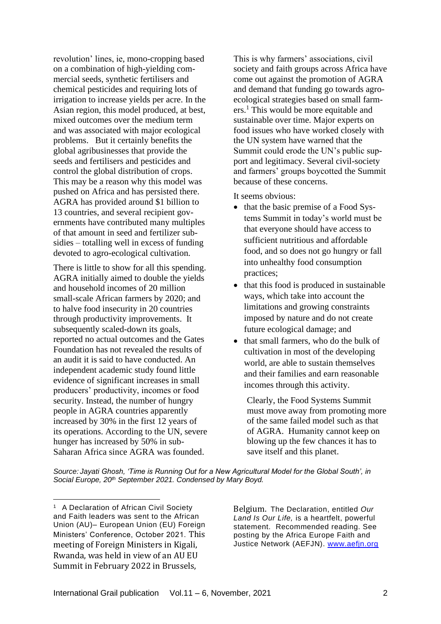revolution' lines, ie, mono-cropping based on a combination of high-yielding commercial seeds, synthetic fertilisers and chemical pesticides and requiring lots of irrigation to increase yields per acre. In the Asian region, this model produced, at best, mixed outcomes over the medium term and was associated with major ecological problems. But it certainly benefits the global agribusinesses that provide the seeds and fertilisers and pesticides and control the global distribution of crops. This may be a reason why this model was pushed on Africa and has persisted there. AGRA has provided around \$1 billion to 13 countries, and several recipient governments have contributed many multiples of that amount in seed and fertilizer subsidies – totalling well in excess of funding devoted to agro-ecological cultivation.

There is little to show for all this spending. AGRA initially aimed to double the yields and household incomes of 20 million small-scale African farmers by 2020; and to halve food insecurity in 20 countries through productivity improvements. It subsequently scaled-down its goals, reported no actual outcomes and the Gates Foundation has not revealed the results of an audit it is said to have conducted. An independent academic study found little evidence of significant increases in small producers' productivity, incomes or food security. Instead, the number of hungry people in AGRA countries apparently increased by 30% in the first 12 years of its operations. According to the UN, severe hunger has increased by 50% in sub-Saharan Africa since AGRA was founded.

This is why farmers' associations, civil society and faith groups across Africa have come out against the promotion of AGRA and demand that funding go towards agroecological strategies based on small farmers. <sup>1</sup> This would be more equitable and sustainable over time. Major experts on food issues who have worked closely with the UN system have warned that the Summit could erode the UN's public support and legitimacy. Several civil-society and farmers' groups boycotted the Summit because of these concerns.

It seems obvious:

- that the basic premise of a Food Systems Summit in today's world must be that everyone should have access to sufficient nutritious and affordable food, and so does not go hungry or fall into unhealthy food consumption practices;
- that this food is produced in sustainable ways, which take into account the limitations and growing constraints imposed by nature and do not create future ecological damage; and
- that small farmers, who do the bulk of cultivation in most of the developing world, are able to sustain themselves and their families and earn reasonable incomes through this activity.

Clearly, the Food Systems Summit must move away from promoting more of the same failed model such as that of AGRA. Humanity cannot keep on blowing up the few chances it has to save itself and this planet.

*Source: Jayati Ghosh, 'Time is Running Out for a New Agricultural Model for the Global South', in Social Europe, 20th September 2021. Condensed by Mary Boyd.*

Belgium. The Declaration, entitled *Our Land Is Our Life,* is a heartfelt, powerful statement. Recommended reading. See posting by the Africa Europe Faith and Justice Network (AEFJN). [www.aefjn.org](http://www.aefjn.org/)

<sup>&</sup>lt;sup>1</sup> A Declaration of African Civil Society and Faith leaders was sent to the African Union (AU)– European Union (EU) Foreign Ministers' Conference, October 2021. This meeting of Foreign Ministers in Kigali, Rwanda, was held in view of an AU EU Summit in February 2022 in Brussels,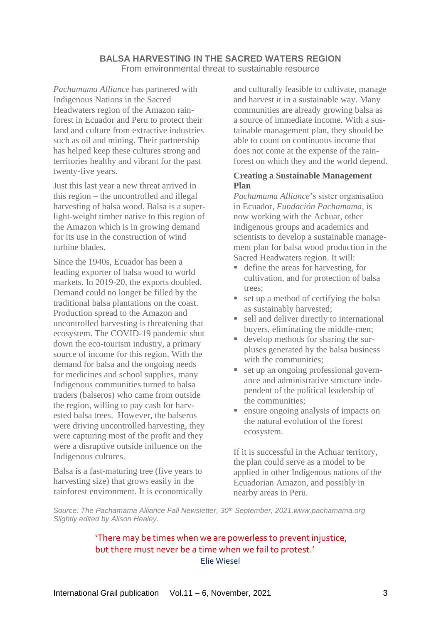#### **BALSA HARVESTING IN THE SACRED WATERS REGION** From environmental threat to sustainable resource

*Pachamama Alliance* has partnered with Indigenous Nations in the Sacred Headwaters region of the Amazon rainforest in Ecuador and Peru to protect their land and culture from extractive industries such as oil and mining. Their partnership has helped keep these cultures strong and territories healthy and vibrant for the past twenty-five years.

Just this last year a new threat arrived in this region – the uncontrolled and illegal harvesting of balsa wood. Balsa is a superlight-weight timber native to this region of the Amazon which is in growing demand for its use in the construction of wind turbine blades.

Since the 1940s, Ecuador has been a leading exporter of balsa wood to world markets. In 2019-20, the exports doubled. Demand could no longer be filled by the traditional balsa plantations on the coast. Production spread to the Amazon and uncontrolled harvesting is threatening that ecosystem. The COVID-19 pandemic shut down the eco-tourism industry, a primary source of income for this region. With the demand for balsa and the ongoing needs for medicines and school supplies, many Indigenous communities turned to balsa traders (balseros) who came from outside the region, willing to pay cash for harvested balsa trees. However, the balseros were driving uncontrolled harvesting, they were capturing most of the profit and they were a disruptive outside influence on the Indigenous cultures.

Balsa is a fast-maturing tree (five years to harvesting size) that grows easily in the rainforest environment. It is economically and culturally feasible to cultivate, manage and harvest it in a sustainable way. Many communities are already growing balsa as a source of immediate income. With a sustainable management plan, they should be able to count on continuous income that does not come at the expense of the rainforest on which they and the world depend.

## **Creating a Sustainable Management Plan**

*Pachamama Alliance*'s sister organisation in Ecuador, *Fundación Pachamama*, is now working with the Achuar, other Indigenous groups and academics and scientists to develop a sustainable management plan for balsa wood production in the Sacred Headwaters region. It will:

- define the areas for harvesting, for cultivation, and for protection of balsa trees;
- $\blacksquare$  set up a method of certifying the balsa as sustainably harvested;
- sell and deliver directly to international buyers, eliminating the middle-men;
- develop methods for sharing the surpluses generated by the balsa business with the communities;
- set up an ongoing professional governance and administrative structure independent of the political leadership of the communities;
- ensure ongoing analysis of impacts on the natural evolution of the forest ecosystem.

If it is successful in the Achuar territory, the plan could serve as a model to be applied in other Indigenous nations of the Ecuadorian Amazon, and possibly in nearby areas in Peru.

*Source: The Pachamama Alliance Fall Newsletter, 30th September, 2021.www.pachamama.org Slightly edited by Alison Healey.*

# 'There may be times when we are powerless to prevent injustice, but there must never be a time when we fail to protest.' Elie Wiesel